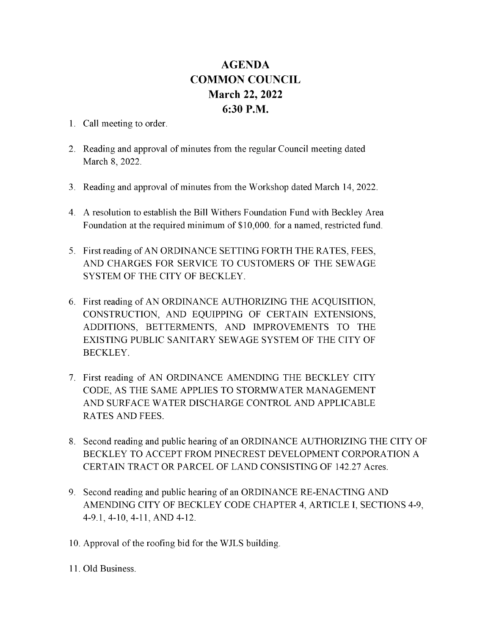## AGENDA **COMMON COUNCIL** March 22, 2022 6:30 P.M.

- 1. Call meeting to order.
- 2. Reading and approval of minutes from the regular Council meeting dated March 8, 2022.
- 3. Reading and approval of minutes from the Workshop dated March 14, 2022.
- 4. A resolution to establish the Bill Withers Foundation Fund with Beckley Area Foundation at the required minimum of \$10,000. for a named, restricted fund.
- 5. First reading of AN ORDINANCE SETTING FORTH THE RATES, FEES, AND CHARGES FOR SERVICE TO CUSTOMERS OF THE SEWAGE SYSTEM OF THE CITY OF BECKLEY.
- 6. First reading of AN ORDINANCE AUTHORIZING THE ACQUISITION, CONSTRUCTION, AND EQUIPPING OF CERTAIN EXTENSIONS, ADDITIONS, BETTERMENTS, AND IMPROVEMENTS TO THE EXISTING PUBLIC SANITARY SEWAGE SYSTEM OF THE CITY OF BECKLEY.
- 7. First reading of AN ORDINANCE AMENDING THE BECKLEY CITY CODE, AS THE SAME APPLIES TO STORMWATER MANAGEMENT ANDSURFACE WATER DISCHARGE CONTROL ANDAPPLICABLE RATES AND FEES.
- 8. Second reading and public hearing of an ORDINANCE AUTHORIZING THE CITY OF BECKLEY TO ACCEPT FROM PINECREST DEVELOPMENT CORPORATION A CERTAIN TRACT OR PARCEL OF LAND CONSISTING OF 142.27 Acres.
- 9. Second reading and public hearing of an ORDINANCE RE-ENACTING AND AMENDING CITY OF BECKLEY CODE CHAPTER 4, ARTICLE I, SECTIONS 4-9, 4-9.1, 4-10, 4-11, AND 4-12.
- 10. Approval of the roofing bid for the WJLS building.
- 11. Old Business.